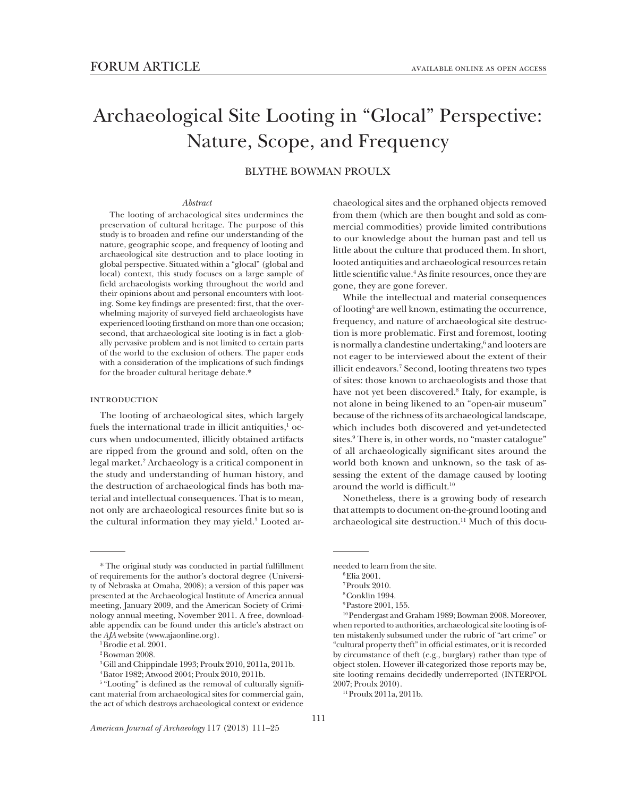# Archaeological Site Looting in "Glocal" Perspective: Nature, Scope, and Frequency

# BLYTHE BOWMAN PROULX

#### *Abstract*

The looting of archaeological sites undermines the preservation of cultural heritage. The purpose of this study is to broaden and refine our understanding of the nature, geographic scope, and frequency of looting and archaeological site destruction and to place looting in global perspective. Situated within a "glocal" (global and local) context, this study focuses on a large sample of field archaeologists working throughout the world and their opinions about and personal encounters with looting. Some key findings are presented: first, that the overwhelming majority of surveyed field archaeologists have experienced looting firsthand on more than one occasion; second, that archaeological site looting is in fact a globally pervasive problem and is not limited to certain parts of the world to the exclusion of others. The paper ends with a consideration of the implications of such findings for the broader cultural heritage debate.\*

#### **INTRODUCTION**

The looting of archaeological sites, which largely fuels the international trade in illicit antiquities, $^{\rm l}$  occurs when undocumented, illicitly obtained artifacts are ripped from the ground and sold, often on the legal market.2 Archaeology is a critical component in the study and understanding of human history, and the destruction of archaeological finds has both material and intellectual consequences. That is to mean, not only are archaeological resources finite but so is the cultural information they may yield.<sup>3</sup> Looted ar-

1 Brodie et al. 2001.

chaeological sites and the orphaned objects removed from them (which are then bought and sold as commercial commodities) provide limited contributions to our knowledge about the human past and tell us little about the culture that produced them. In short, looted antiquities and archaeological resources retain little scientific value.<sup>4</sup> As finite resources, once they are gone, they are gone forever.

While the intellectual and material consequences of looting<sup>5</sup> are well known, estimating the occurrence, frequency, and nature of archaeological site destruction is more problematic. First and foremost, looting is normally a clandestine undertaking, $6$  and looters are not eager to be interviewed about the extent of their illicit endeavors.7 Second, looting threatens two types of sites: those known to archaeologists and those that have not yet been discovered.<sup>8</sup> Italy, for example, is not alone in being likened to an "open-air museum" because of the richness of its archaeological landscape, which includes both discovered and yet-undetected sites.<sup>9</sup> There is, in other words, no "master catalogue" of all archaeologically significant sites around the world both known and unknown, so the task of assessing the extent of the damage caused by looting around the world is difficult.<sup>10</sup>

Nonetheless, there is a growing body of research that attempts to document on-the-ground looting and archaeological site destruction.<sup>11</sup> Much of this docu-

<sup>\*</sup> The original study was conducted in partial fulfillment of requirements for the author's doctoral degree (University of Nebraska at Omaha, 2008); a version of this paper was presented at the Archaeological Institute of America annual meeting, January 2009, and the American Society of Criminology annual meeting, November 2011. A free, downloadable appendix can be found under this article's abstract on the *AJA* websit[e \(www.ajaonline.org\).](http://www.ajaonline.org/forum-article/1496)

<sup>2</sup> Bowman 2008.

<sup>3</sup> Gill and Chippindale 1993; Proulx 2010, 2011a, 2011b.

<sup>4</sup> Bator 1982; Atwood 2004; Proulx 2010, 2011b.

 $5$  "Looting" is defined as the removal of culturally significant material from archaeological sites for commercial gain, the act of which destroys archaeological context or evidence

needed to learn from the site.

<sup>6</sup> Elia 2001.

<sup>7</sup> Proulx 2010.

<sup>8</sup> Conklin 1994.

<sup>9</sup> Pastore 2001, 155.

<sup>10</sup> Pendergast and Graham 1989; Bowman 2008. Moreover, when reported to authorities, archaeological site looting is often mistakenly subsumed under the rubric of "art crime" or "cultural property theft" in official estimates, or it is recorded by circumstance of theft (e.g., burglary) rather than type of object stolen. However ill-categorized those reports may be, site looting remains decidedly underreported (INTERPOL 2007; Proulx 2010).

<sup>11</sup> Proulx 2011a, 2011b.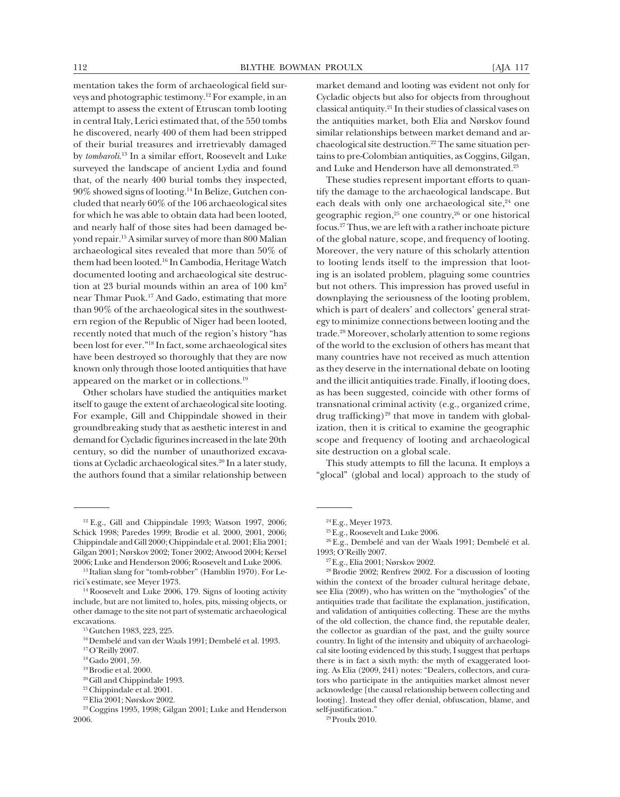mentation takes the form of archaeological field surveys and photographic testimony.12 For example, in an attempt to assess the extent of Etruscan tomb looting in central Italy, Lerici estimated that, of the 550 tombs he discovered, nearly 400 of them had been stripped of their burial treasures and irretrievably damaged by *tombaroli*. 13 In a similar effort, Roosevelt and Luke surveyed the landscape of ancient Lydia and found that, of the nearly 400 burial tombs they inspected, 90% showed signs of looting.14 In Belize, Gutchen concluded that nearly 60% of the 106 archaeological sites for which he was able to obtain data had been looted, and nearly half of those sites had been damaged beyond repair.15 A similar survey of more than 800 Malian archaeological sites revealed that more than 50% of them had been looted.16 In Cambodia, Heritage Watch documented looting and archaeological site destruction at 23 burial mounds within an area of  $100 \text{ km}^2$ near Thmar Puok.17 And Gado, estimating that more than 90% of the archaeological sites in the southwestern region of the Republic of Niger had been looted, recently noted that much of the region's history "has been lost for ever."18 In fact, some archaeological sites have been destroyed so thoroughly that they are now known only through those looted antiquities that have appeared on the market or in collections.<sup>19</sup>

Other scholars have studied the antiquities market itself to gauge the extent of archaeological site looting. For example, Gill and Chippindale showed in their groundbreaking study that as aesthetic interest in and demand for Cycladic figurines increased in the late 20th century, so did the number of unauthorized excavations at Cycladic archaeological sites.<sup>20</sup> In a later study, the authors found that a similar relationship between

22 Elia 2001; Nørskov 2002.

market demand and looting was evident not only for Cycladic objects but also for objects from throughout classical antiquity.21 In their studies of classical vases on the antiquities market, both Elia and Nørskov found similar relationships between market demand and archaeological site destruction.22 The same situation pertains to pre-Colombian antiquities, as Coggins, Gilgan, and Luke and Henderson have all demonstrated.<sup>23</sup>

These studies represent important efforts to quantify the damage to the archaeological landscape. But each deals with only one archaeological site, $24$  one geographic region, $25$  one country, $26$  or one historical focus.27 Thus, we are left with a rather inchoate picture of the global nature, scope, and frequency of looting. Moreover, the very nature of this scholarly attention to looting lends itself to the impression that looting is an isolated problem, plaguing some countries but not others. This impression has proved useful in downplaying the seriousness of the looting problem, which is part of dealers' and collectors' general strategy to minimize connections between looting and the trade.28 Moreover, scholarly attention to some regions of the world to the exclusion of others has meant that many countries have not received as much attention as they deserve in the international debate on looting and the illicit antiquities trade. Finally, if looting does, as has been suggested, coincide with other forms of transnational criminal activity (e.g., organized crime, drug trafficking)<sup>29</sup> that move in tandem with globalization, then it is critical to examine the geographic scope and frequency of looting and archaeological site destruction on a global scale.

This study attempts to fill the lacuna. It employs a "glocal" (global and local) approach to the study of

<sup>&</sup>lt;sup>12</sup> E.g., Gill and Chippindale 1993; Watson 1997, 2006; Schick 1998; Paredes 1999; Brodie et al. 2000, 2001, 2006; Chippindale and Gill 2000; Chippindale et al. 2001; Elia 2001; Gilgan 2001; Nørskov 2002; Toner 2002; Atwood 2004; Kersel 2006; Luke and Henderson 2006; Roosevelt and Luke 2006.

<sup>13</sup> Italian slang for "tomb-robber" (Hamblin 1970). For Lerici's estimate, see Meyer 1973. 14 Roosevelt and Luke 2006, 179. Signs of looting activity

include, but are not limited to, holes, pits, missing objects, or other damage to the site not part of systematic archaeological excavations.

<sup>15</sup> Gutchen 1983, 223, 225.

<sup>16</sup> Dembelé and van der Waals 1991; Dembelé et al. 1993.

<sup>17</sup> O'Reilly 2007.

<sup>18</sup> Gado 2001, 59.

<sup>19</sup> Brodie et al. 2000.

<sup>20</sup> Gill and Chippindale 1993.

<sup>21</sup> Chippindale et al. 2001.

<sup>23</sup> Coggins 1995, 1998; Gilgan 2001; Luke and Henderson 2006.

<sup>24</sup> E.g., Meyer 1973.

<sup>25</sup> E.g., Roosevelt and Luke 2006.

<sup>26</sup> E.g., Dembelé and van der Waals 1991; Dembelé et al. 1993; O'Reilly 2007.

<sup>27</sup> E.g., Elia 2001; Nørskov 2002.

<sup>28</sup> Brodie 2002; Renfrew 2002. For a discussion of looting within the context of the broader cultural heritage debate, see Elia (2009), who has written on the "mythologies" of the antiquities trade that facilitate the explanation, justification, and validation of antiquities collecting. These are the myths of the old collection, the chance find, the reputable dealer, the collector as guardian of the past, and the guilty source country. In light of the intensity and ubiquity of archaeological site looting evidenced by this study, I suggest that perhaps there is in fact a sixth myth: the myth of exaggerated looting. As Elia (2009, 241) notes: "Dealers, collectors, and curators who participate in the antiquities market almost never acknowledge [the causal relationship between collecting and looting]. Instead they offer denial, obfuscation, blame, and self-justification."

<sup>29</sup> Proulx 2010.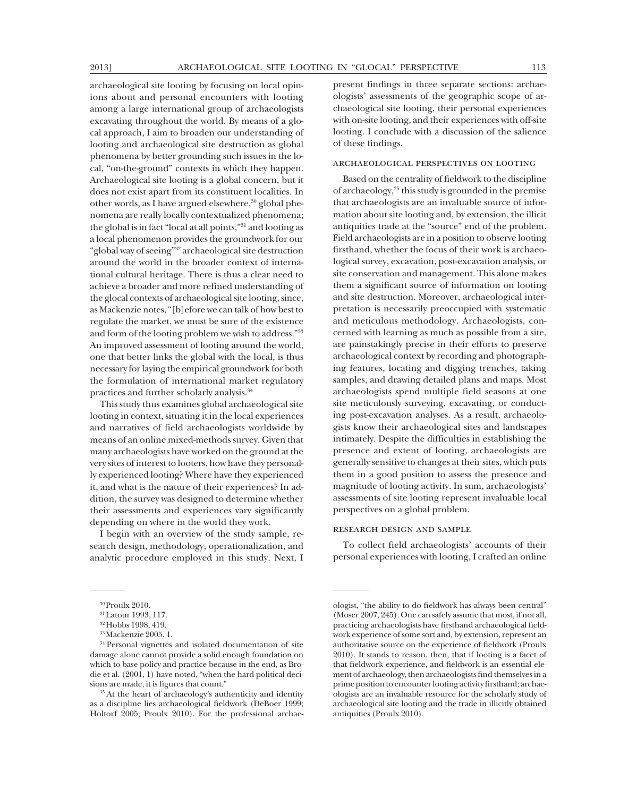archaeological site looting by focusing on local opinions about and personal encounters with looting among a large international group of archaeologists excavating throughout the world. By means of a glocal approach, I aim to broaden our understanding of looting and archaeological site destruction as global phenomena by better grounding such issues in the local, "on-the-ground" contexts in which they happen. Archaeological site looting is a global concern, but it does not exist apart from its constituent localities. In other words, as I have argued elsewhere,<sup>30</sup> global phenomena are really locally contextualized phenomena; the global is in fact "local at all points,"31 and looting as a local phenomenon provides the groundwork for our "global way of seeing"32 archaeological site destruction around the world in the broader context of international cultural heritage. There is thus a clear need to achieve a broader and more refined understanding of the glocal contexts of archaeological site looting, since, as Mackenzie notes, "[b]efore we can talk of how best to regulate the market, we must be sure of the existence and form of the looting problem we wish to address."33 An improved assessment of looting around the world, one that better links the global with the local, is thus necessary for laying the empirical groundwork for both the formulation of international market regulatory practices and further scholarly analysis.<sup>34</sup>

This study thus examines global archaeological site looting in context, situating it in the local experiences and narratives of field archaeologists worldwide by means of an online mixed-methods survey. Given that many archaeologists have worked on the ground at the very sites of interest to looters, how have they personally experienced looting? Where have they experienced it, and what is the nature of their experiences? In addition, the survey was designed to determine whether their assessments and experiences vary significantly depending on where in the world they work.

I begin with an overview of the study sample, research design, methodology, operationalization, and analytic procedure employed in this study. Next, I present findings in three separate sections: archaeologists' assessments of the geographic scope of archaeological site looting, their personal experiences with on-site looting, and their experiences with off-site looting. I conclude with a discussion of the salience of these findings.

## archaeological perspectives on looting

Based on the centrality of fieldwork to the discipline of archaeology,35 this study is grounded in the premise that archaeologists are an invaluable source of information about site looting and, by extension, the illicit antiquities trade at the "source" end of the problem. Field archaeologists are in a position to observe looting firsthand, whether the focus of their work is archaeological survey, excavation, post-excavation analysis, or site conservation and management. This alone makes them a significant source of information on looting and site destruction. Moreover, archaeological interpretation is necessarily preoccupied with systematic and meticulous methodology. Archaeologists, concerned with learning as much as possible from a site, are painstakingly precise in their efforts to preserve archaeological context by recording and photographing features, locating and digging trenches, taking samples, and drawing detailed plans and maps. Most archaeologists spend multiple field seasons at one site meticulously surveying, excavating, or conducting post-excavation analyses. As a result, archaeologists know their archaeological sites and landscapes intimately. Despite the difficulties in establishing the presence and extent of looting, archaeologists are generally sensitive to changes at their sites, which puts them in a good position to assess the presence and magnitude of looting activity. In sum, archaeologists' assessments of site looting represent invaluable local perspectives on a global problem.

## research design and sample

To collect field archaeologists' accounts of their personal experiences with looting, I crafted an online

<sup>30</sup> Proulx 2010.

<sup>31</sup> Latour 1993, 117.

<sup>32</sup> Hobbs 1998, 419.

<sup>33</sup> Mackenzie 2005, 1.

<sup>34</sup> Personal vignettes and isolated documentation of site damage alone cannot provide a solid enough foundation on which to base policy and practice because in the end, as Brodie et al. (2001, 1) have noted, "when the hard political decisions are made, it is figures that count."  $35$  At the heart of archaeology's authenticity and identity

as a discipline lies archaeological fieldwork (DeBoer 1999; Holtorf 2005; Proulx 2010). For the professional archae-

ologist, "the ability to do fieldwork has always been central" (Moser 2007, 245). One can safely assume that most, if not all, practicing archaeologists have firsthand archaeological fieldwork experience of some sort and, by extension, represent an authoritative source on the experience of fieldwork (Proulx 2010). It stands to reason, then, that if looting is a facet of that fieldwork experience, and fieldwork is an essential element of archaeology, then archaeologists find themselves in a prime position to encounter looting activity firsthand; archaeologists are an invaluable resource for the scholarly study of archaeological site looting and the trade in illicitly obtained antiquities (Proulx 2010).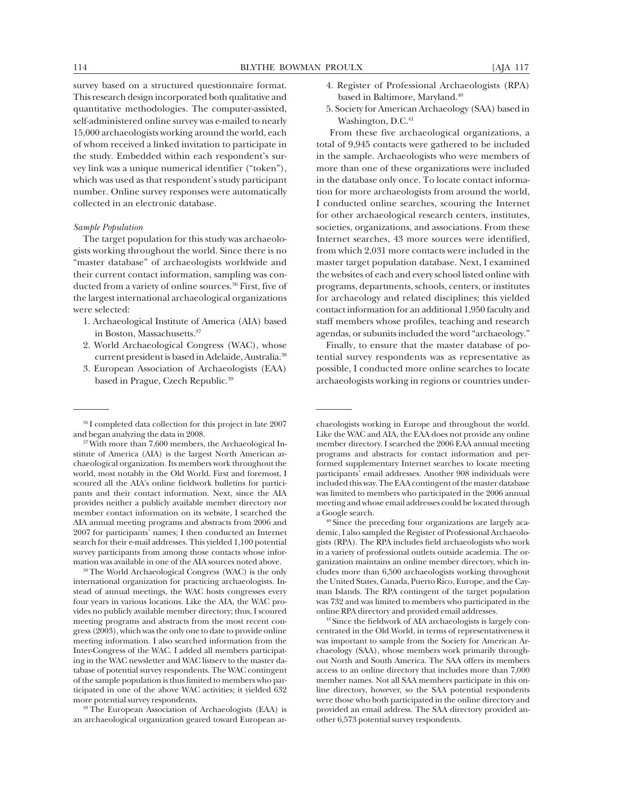survey based on a structured questionnaire format. This research design incorporated both qualitative and quantitative methodologies. The computer-assisted, self-administered online survey was e-mailed to nearly 15,000 archaeologists working around the world, each of whom received a linked invitation to participate in the study. Embedded within each respondent's survey link was a unique numerical identifier ("token"), which was used as that respondent's study participant number. Online survey responses were automatically collected in an electronic database.

## *Sample Population*

The target population for this study was archaeologists working throughout the world. Since there is no "master database" of archaeologists worldwide and their current contact information, sampling was conducted from a variety of online sources.<sup>36</sup> First, five of the largest international archaeological organizations were selected:

- 1. Archaeological Institute of America (AIA) based in Boston, Massachusetts.37
- 2. World Archaeological Congress (WAC), whose current president is based in Adelaide, Australia.38
- 3. European Association of Archaeologists (EAA) based in Prague, Czech Republic.39

<sup>38</sup> The World Archaeological Congress (WAC) is the only international organization for practicing archaeologists. Instead of annual meetings, the WAC hosts congresses every four years in various locations. Like the AIA, the WAC provides no publicly available member directory; thus, I scoured meeting programs and abstracts from the most recent congress (2003), which was the only one to date to provide online meeting information. I also searched information from the Inter-Congress of the WAC. I added all members participating in the WAC newsletter and WAC listserv to the master database of potential survey respondents. The WAC contingent of the sample population is thus limited to members who participated in one of the above WAC activities; it yielded 632 more potential survey respondents.<br><sup>39</sup> The European Association of Archaeologists (EAA) is

an archaeological organization geared toward European ar-

- 4. Register of Professional Archaeologists (RPA) based in Baltimore, Maryland.<sup>40</sup>
- 5. Society for American Archaeology (SAA) based in Washington, D.C.<sup>41</sup>

 From these five archaeological organizations, a total of 9,945 contacts were gathered to be included in the sample. Archaeologists who were members of more than one of these organizations were included in the database only once. To locate contact information for more archaeologists from around the world, I conducted online searches, scouring the Internet for other archaeological research centers, institutes, societies, organizations, and associations. From these Internet searches, 43 more sources were identified, from which 2,031 more contacts were included in the master target population database. Next, I examined the websites of each and every school listed online with programs, departments, schools, centers, or institutes for archaeology and related disciplines; this yielded contact information for an additional 1,950 faculty and staff members whose profiles, teaching and research agendas, or subunits included the word "archaeology."

Finally, to ensure that the master database of potential survey respondents was as representative as possible, I conducted more online searches to locate archaeologists working in regions or countries under-

<sup>36</sup> I completed data collection for this project in late 2007 and began analyzing the data in 2008.

<sup>37</sup> With more than 7,600 members, the Archaeological Institute of America (AIA) is the largest North American archaeological organization. Its members work throughout the world, most notably in the Old World. First and foremost, I scoured all the AIA's online fieldwork bulletins for participants and their contact information. Next, since the AIA provides neither a publicly available member directory nor member contact information on its website, I searched the AIA annual meeting programs and abstracts from 2006 and 2007 for participants' names; I then conducted an Internet search for their e-mail addresses. This yielded 1,100 potential survey participants from among those contacts whose information was available in one of the AIA sources noted above.

chaeologists working in Europe and throughout the world. Like the WAC and AIA, the EAA does not provide any online member directory. I searched the 2006 EAA annual meeting programs and abstracts for contact information and performed supplementary Internet searches to locate meeting participants' email addresses. Another 908 individuals were included this way. The EAA contingent of the master database was limited to members who participated in the 2006 annual meeting and whose email addresses could be located through a Google search.<br><sup>40</sup> Since the preceding four organizations are largely aca-

demic, I also sampled the Register of Professional Archaeologists (RPA). The RPA includes field archaeologists who work in a variety of professional outlets outside academia. The organization maintains an online member directory, which includes more than 6,500 archaeologists working throughout the United States, Canada, Puerto Rico, Europe, and the Cayman Islands. The RPA contingent of the target population was 732 and was limited to members who participated in the online RPA directory and provided email addresses.<br><sup>41</sup> Since the fieldwork of AIA archaeologists is largely con-

centrated in the Old World, in terms of representativeness it was important to sample from the Society for American Archaeology (SAA), whose members work primarily throughout North and South America. The SAA offers its members access to an online directory that includes more than 7,000 member names. Not all SAA members participate in this online directory, however, so the SAA potential respondents were those who both participated in the online directory and provided an email address. The SAA directory provided another 6,573 potential survey respondents.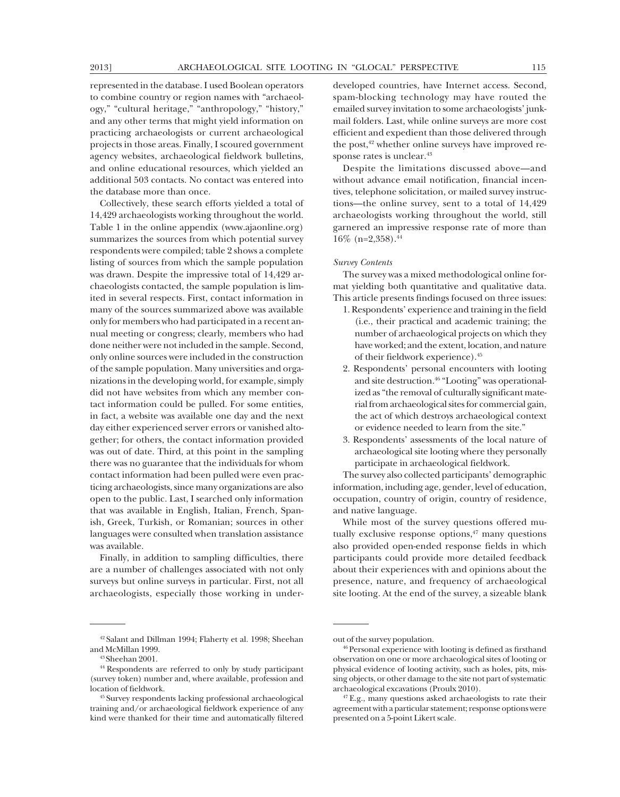represented in the database. I used Boolean operators to combine country or region names with "archaeology," "cultural heritage," "anthropology," "history," and any other terms that might yield information on practicing archaeologists or current archaeological projects in those areas. Finally, I scoured government agency websites, archaeological fieldwork bulletins, and online educational resources, which yielded an additional 503 contacts. No contact was entered into the database more than once.

Collectively, these search efforts yielded a total of 14,429 archaeologists working throughout the world. Table 1 in the online appendix [\(www.ajaonline.org\)](http://www.ajaonline.org/sites/default/files/1171_Proulx_suppl.pdf)  summarizes the sources from which potential survey respondents were compiled; table 2 shows a complete listing of sources from which the sample population was drawn. Despite the impressive total of 14,429 archaeologists contacted, the sample population is limited in several respects. First, contact information in many of the sources summarized above was available only for members who had participated in a recent annual meeting or congress; clearly, members who had done neither were not included in the sample. Second, only online sources were included in the construction of the sample population. Many universities and organizations in the developing world, for example, simply did not have websites from which any member contact information could be pulled. For some entities, in fact, a website was available one day and the next day either experienced server errors or vanished altogether; for others, the contact information provided was out of date. Third, at this point in the sampling there was no guarantee that the individuals for whom contact information had been pulled were even practicing archaeologists, since many organizations are also open to the public. Last, I searched only information that was available in English, Italian, French, Spanish, Greek, Turkish, or Romanian; sources in other languages were consulted when translation assistance was available.

Finally, in addition to sampling difficulties, there are a number of challenges associated with not only surveys but online surveys in particular. First, not all archaeologists, especially those working in underdeveloped countries, have Internet access. Second, spam-blocking technology may have routed the emailed survey invitation to some archaeologists' junkmail folders. Last, while online surveys are more cost efficient and expedient than those delivered through the post,<sup>42</sup> whether online surveys have improved response rates is unclear.<sup>43</sup>

Despite the limitations discussed above—and without advance email notification, financial incentives, telephone solicitation, or mailed survey instructions—the online survey, sent to a total of 14,429 archaeologists working throughout the world, still garnered an impressive response rate of more than  $16\%$  (n=2,358).<sup>44</sup>

#### *Survey Contents*

The survey was a mixed methodological online format yielding both quantitative and qualitative data. This article presents findings focused on three issues:

- 1. Respondents' experience and training in the field (i.e., their practical and academic training; the number of archaeological projects on which they have worked; and the extent, location, and nature of their fieldwork experience).45
- 2. Respondents' personal encounters with looting and site destruction.<sup>46</sup> "Looting" was operationalized as "the removal of culturally significant material from archaeological sites for commercial gain, the act of which destroys archaeological context or evidence needed to learn from the site."
- 3. Respondents' assessments of the local nature of archaeological site looting where they personally participate in archaeological fieldwork.

The survey also collected participants' demographic information, including age, gender, level of education, occupation, country of origin, country of residence, and native language.

While most of the survey questions offered mutually exclusive response options, $47$  many questions also provided open-ended response fields in which participants could provide more detailed feedback about their experiences with and opinions about the presence, nature, and frequency of archaeological site looting. At the end of the survey, a sizeable blank

<sup>42</sup> Salant and Dillman 1994; Flaherty et al. 1998; Sheehan and McMillan 1999.

 $43$  Sheehan 2001.

<sup>44</sup> Respondents are referred to only by study participant (survey token) number and, where available, profession and location of fieldwork.

<sup>45</sup> Survey respondents lacking professional archaeological training and/or archaeological fieldwork experience of any kind were thanked for their time and automatically filtered

out of the survey population.<br><sup>46</sup> Personal experience with looting is defined as firsthand observation on one or more archaeological sites of looting or physical evidence of looting activity, such as holes, pits, missing objects, or other damage to the site not part of systematic archaeological excavations (Proulx 2010). 47 E.g., many questions asked archaeologists to rate their

agreement with a particular statement; response options were presented on a 5-point Likert scale.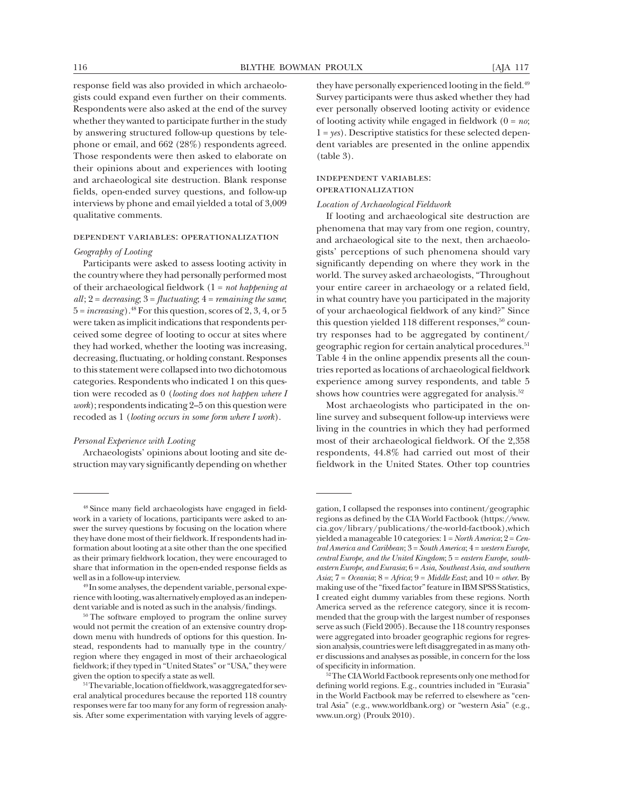response field was also provided in which archaeologists could expand even further on their comments. Respondents were also asked at the end of the survey whether they wanted to participate further in the study by answering structured follow-up questions by telephone or email, and 662 (28%) respondents agreed. Those respondents were then asked to elaborate on their opinions about and experiences with looting and archaeological site destruction. Blank response fields, open-ended survey questions, and follow-up interviews by phone and email yielded a total of 3,009 qualitative comments.

## dependent variables: operationalization

### *Geography of Looting*

Participants were asked to assess looting activity in the country where they had personally performed most of their archaeological fieldwork (1 = *not happening at all* ; 2 = *decreasing*; 3 = *fluctuating*; 4 = *remaining the same*; 5 = *increasing* ).48 For this question, scores of 2, 3, 4, or 5 were taken as implicit indications that respondents perceived some degree of looting to occur at sites where they had worked, whether the looting was increasing, decreasing, fluctuating, or holding constant. Responses to this statement were collapsed into two dichotomous categories. Respondents who indicated 1 on this question were recoded as 0 (*looting does not happen where I work* ); respondents indicating 2–5 on this question were recoded as 1 (*looting occurs in some form where I work* ).

# *Personal Experience with Looting*

Archaeologists' opinions about looting and site destruction may vary significantly depending on whether they have personally experienced looting in the field.<sup>49</sup> Survey participants were thus asked whether they had ever personally observed looting activity or evidence of looting activity while engaged in fieldwork  $(0 = no;$ 1 = *yes* ). Descriptive statistics for these selected dependent variables are presented in the online appendix (table 3).

## independent variables: operationalization

# *Location of Archaeological Fieldwork*

If looting and archaeological site destruction are phenomena that may vary from one region, country, and archaeological site to the next, then archaeologists' perceptions of such phenomena should vary significantly depending on where they work in the world. The survey asked archaeologists, "Throughout your entire career in archaeology or a related field, in what country have you participated in the majority of your archaeological fieldwork of any kind?" Since this question yielded 118 different responses,<sup>50</sup> country responses had to be aggregated by continent/ geographic region for certain analytical procedures.<sup>51</sup> Table 4 in the online appendix presents all the countries reported as locations of archaeological fieldwork experience among survey respondents, and table 5 shows how countries were aggregated for analysis.<sup>52</sup>

Most archaeologists who participated in the online survey and subsequent follow-up interviews were living in the countries in which they had performed most of their archaeological fieldwork. Of the 2,358 respondents, 44.8% had carried out most of their fieldwork in the United States. Other top countries

<sup>&</sup>lt;sup>48</sup> Since many field archaeologists have engaged in fieldwork in a variety of locations, participants were asked to answer the survey questions by focusing on the location where they have done most of their fieldwork. If respondents had information about looting at a site other than the one specified as their primary fieldwork location, they were encouraged to share that information in the open-ended response fields as well as in a follow-up interview.

<sup>&</sup>lt;sup>49</sup> In some analyses, the dependent variable, personal experience with looting, was alternatively employed as an indepen-

<sup>50</sup> The software employed to program the online survey would not permit the creation of an extensive country dropdown menu with hundreds of options for this question. Instead, respondents had to manually type in the country/ region where they engaged in most of their archaeological fieldwork; if they typed in "United States" or "USA," they were

given the option to specify a state as well.<br><sup>51</sup> The variable, location of fieldwork, was aggregated for several analytical procedures because the reported 118 country responses were far too many for any form of regression analysis. After some experimentation with varying levels of aggre-

gation, I collapsed the responses into continent/geographic regions as defined by the CIA World Factbook (https://www. [cia.gov/library/publications/the-world-factbook\),which](https://www.cia.gov/library/publications/the-world-factbook)  yielded a manageable 10 categories: 1 = *North America* ; 2 = *Central America and Caribbean* ; 3 = *South America* ; 4 = *western Europe, central Europe, and the United Kingdom* ; 5 = *eastern Europe, southeastern Europe, and Eurasia* ; 6 = *Asia, Southeast Asia, and southern Asia* ; 7 = *Oceania* ; 8 = *Africa* ; 9 = *Middle East* ; and 10 = *other*. By making use of the "fixed factor" feature in IBM SPSS Statistics, I created eight dummy variables from these regions. North America served as the reference category, since it is recommended that the group with the largest number of responses serve as such (Field 2005). Because the 118 country responses were aggregated into broader geographic regions for regression analysis, countries were left disaggregated in as many other discussions and analyses as possible, in concern for the loss

<sup>52</sup> The CIA World Factbook represents only one method for defining world regions. E.g., countries included in "Eurasia" in the World Factbook may be referred to elsewhere as "central Asia" (e.g., www.worldbank.org) or "western Asia" (e.g., www.un.org) (Proulx 2010).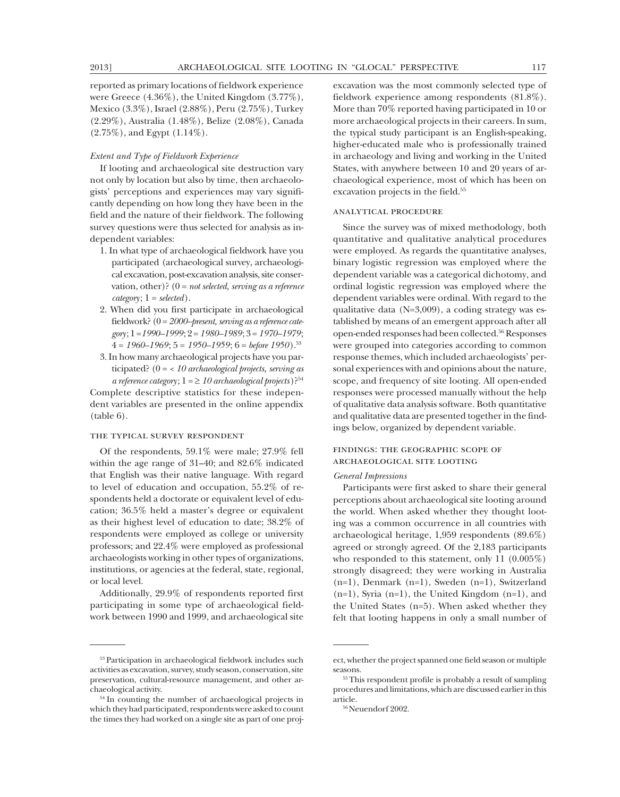reported as primary locations of fieldwork experience were Greece (4.36%), the United Kingdom (3.77%), Mexico (3.3%), Israel (2.88%), Peru (2.75%), Turkey (2.29%), Australia (1.48%), Belize (2.08%), Canada

## *Extent and Type of Fieldwork Experience*

(2.75%), and Egypt (1.14%).

If looting and archaeological site destruction vary not only by location but also by time, then archaeologists' perceptions and experiences may vary significantly depending on how long they have been in the field and the nature of their fieldwork. The following survey questions were thus selected for analysis as independent variables:

- 1. In what type of archaeological fieldwork have you participated (archaeological survey, archaeological excavation, post-excavation analysis, site conservation, other)? (0 = *not selected, serving as a reference*   $category; 1 = selected$ .
- 2. When did you first participate in archaeological fieldwork? (0 = *2000–present, serving as a reference category* ; 1 =*1990–1999* ; 2 = *1980–1989* ; 3 = *1970–1979* ; 4 = *1960–1969* ; 5 = *1950–1959* ; 6 = *before 1950* ).53
- 3.In how many archaeological projects have you participated? (0 = *< 10 archaeological projects, serving as a reference category*;  $1 = \geq 10$  *archaeological projects*)?<sup>54</sup>

Complete descriptive statistics for these independent variables are presented in the online appendix (table 6).

# the typical survey respondent

Of the respondents, 59.1% were male; 27.9% fell within the age range of 31–40; and 82.6% indicated that English was their native language. With regard to level of education and occupation, 55.2% of respondents held a doctorate or equivalent level of education; 36.5% held a master's degree or equivalent as their highest level of education to date; 38.2% of respondents were employed as college or university professors; and 22.4% were employed as professional archaeologists working in other types of organizations, institutions, or agencies at the federal, state, regional, or local level.

Additionally, 29.9% of respondents reported first participating in some type of archaeological fieldwork between 1990 and 1999, and archaeological site excavation was the most commonly selected type of fieldwork experience among respondents (81.8%). More than 70% reported having participated in 10 or more archaeological projects in their careers. In sum, the typical study participant is an English-speaking, higher-educated male who is professionally trained in archaeology and living and working in the United States, with anywhere between 10 and 20 years of archaeological experience, most of which has been on excavation projects in the field.<sup>55</sup>

## analytical procedure

Since the survey was of mixed methodology, both quantitative and qualitative analytical procedures were employed. As regards the quantitative analyses, binary logistic regression was employed where the dependent variable was a categorical dichotomy, and ordinal logistic regression was employed where the dependent variables were ordinal. With regard to the qualitative data (N=3,009), a coding strategy was established by means of an emergent approach after all open-ended responses had been collected.56 Responses were grouped into categories according to common response themes, which included archaeologists' personal experiences with and opinions about the nature, scope, and frequency of site looting. All open-ended responses were processed manually without the help of qualitative data analysis software. Both quantitative and qualitative data are presented together in the findings below, organized by dependent variable.

## findings: the geographic scope of archaeological site looting

#### *General Impressions*

Participants were first asked to share their general perceptions about archaeological site looting around the world. When asked whether they thought looting was a common occurrence in all countries with archaeological heritage, 1,959 respondents (89.6%) agreed or strongly agreed. Of the 2,183 participants who responded to this statement, only 11  $(0.005\%)$ strongly disagreed; they were working in Australia (n=1), Denmark (n=1), Sweden (n=1), Switzerland (n=1), Syria (n=1), the United Kingdom (n=1), and the United States (n=5). When asked whether they felt that looting happens in only a small number of

<sup>53</sup> Participation in archaeological fieldwork includes such activities as excavation, survey, study season, conservation, site preservation, cultural-resource management, and other archaeological activity.

<sup>54</sup> In counting the number of archaeological projects in which they had participated, respondents were asked to count the times they had worked on a single site as part of one proj-

ect, whether the project spanned one field season or multiple seasons.<br><sup>55</sup> This respondent profile is probably a result of sampling

procedures and limitations, which are discussed earlier in this article.

<sup>56</sup> Neuendorf 2002.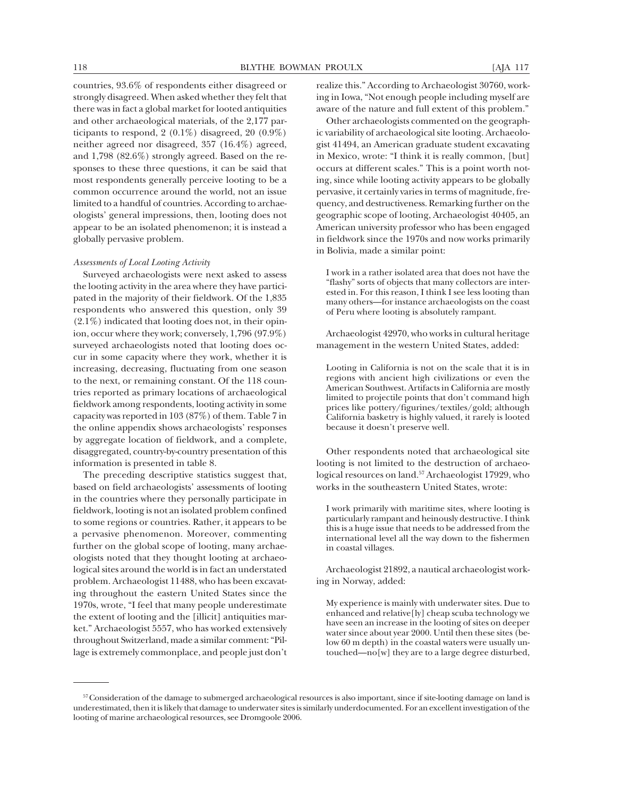countries, 93.6% of respondents either disagreed or strongly disagreed. When asked whether they felt that there was in fact a global market for looted antiquities and other archaeological materials, of the 2,177 participants to respond,  $2(0.1\%)$  disagreed,  $20(0.9\%)$ neither agreed nor disagreed, 357 (16.4%) agreed, and 1,798 (82.6%) strongly agreed. Based on the responses to these three questions, it can be said that most respondents generally perceive looting to be a common occurrence around the world, not an issue limited to a handful of countries. According to archaeologists' general impressions, then, looting does not appear to be an isolated phenomenon; it is instead a globally pervasive problem.

#### *Assessments of Local Looting Activity*

Surveyed archaeologists were next asked to assess the looting activity in the area where they have participated in the majority of their fieldwork. Of the 1,835 respondents who answered this question, only 39 (2.1%) indicated that looting does not, in their opinion, occur where they work; conversely, 1,796 (97.9%) surveyed archaeologists noted that looting does occur in some capacity where they work, whether it is increasing, decreasing, fluctuating from one season to the next, or remaining constant. Of the 118 countries reported as primary locations of archaeological fieldwork among respondents, looting activity in some capacity was reported in 103 (87%) of them. Table 7 in the online appendix shows archaeologists' responses by aggregate location of fieldwork, and a complete, disaggregated, country-by-country presentation of this information is presented in table 8.

The preceding descriptive statistics suggest that, based on field archaeologists' assessments of looting in the countries where they personally participate in fieldwork, looting is not an isolated problem confined to some regions or countries. Rather, it appears to be a pervasive phenomenon. Moreover, commenting further on the global scope of looting, many archaeologists noted that they thought looting at archaeological sites around the world is in fact an understated problem. Archaeologist 11488, who has been excavating throughout the eastern United States since the 1970s, wrote, "I feel that many people underestimate the extent of looting and the [illicit] antiquities market." Archaeologist 5557, who has worked extensively throughout Switzerland, made a similar comment: "Pillage is extremely commonplace, and people just don't

realize this." According to Archaeologist 30760, working in Iowa, "Not enough people including myself are aware of the nature and full extent of this problem."

Other archaeologists commented on the geographic variability of archaeological site looting. Archaeologist 41494, an American graduate student excavating in Mexico, wrote: "I think it is really common, [but] occurs at different scales." This is a point worth noting, since while looting activity appears to be globally pervasive, it certainly varies in terms of magnitude, frequency, and destructiveness. Remarking further on the geographic scope of looting, Archaeologist 40405, an American university professor who has been engaged in fieldwork since the 1970s and now works primarily in Bolivia, made a similar point:

I work in a rather isolated area that does not have the "flashy" sorts of objects that many collectors are interested in. For this reason, I think I see less looting than many others—for instance archaeologists on the coast of Peru where looting is absolutely rampant.

Archaeologist 42970, who works in cultural heritage management in the western United States, added:

Looting in California is not on the scale that it is in regions with ancient high civilizations or even the American Southwest. Artifacts in California are mostly limited to projectile points that don't command high prices like pottery/figurines/textiles/gold; although California basketry is highly valued, it rarely is looted because it doesn't preserve well.

Other respondents noted that archaeological site looting is not limited to the destruction of archaeological resources on land.57 Archaeologist 17929, who works in the southeastern United States, wrote:

I work primarily with maritime sites, where looting is particularly rampant and heinously destructive. I think this is a huge issue that needs to be addressed from the international level all the way down to the fishermen in coastal villages.

Archaeologist 21892, a nautical archaeologist working in Norway, added:

My experience is mainly with underwater sites. Due to enhanced and relative[ly] cheap scuba technology we have seen an increase in the looting of sites on deeper water since about year 2000. Until then these sites (below 60 m depth) in the coastal waters were usually untouched—no[w] they are to a large degree disturbed,

<sup>&</sup>lt;sup>57</sup> Consideration of the damage to submerged archaeological resources is also important, since if site-looting damage on land is underestimated, then it is likely that damage to underwater sites is similarly underdocumented. For an excellent investigation of the looting of marine archaeological resources, see Dromgoole 2006.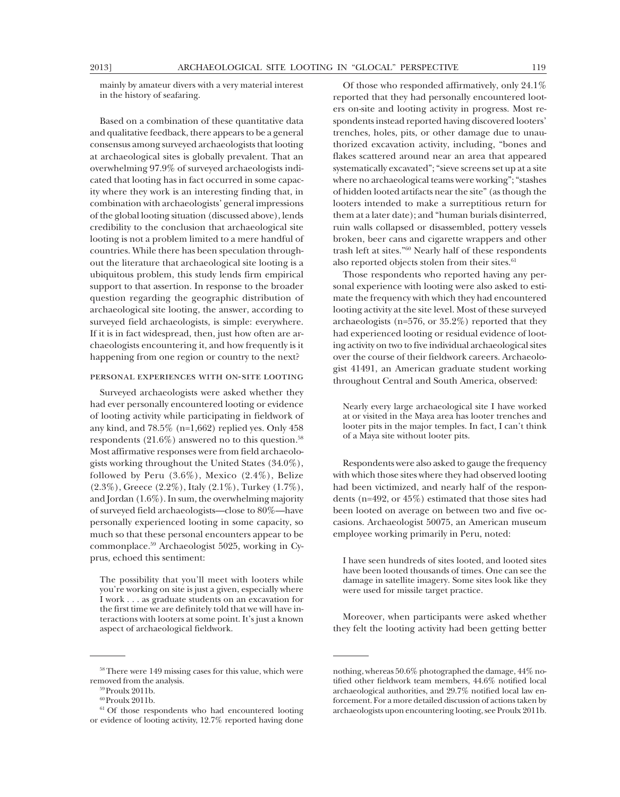mainly by amateur divers with a very material interest in the history of seafaring.

Based on a combination of these quantitative data and qualitative feedback, there appears to be a general consensus among surveyed archaeologists that looting at archaeological sites is globally prevalent. That an overwhelming 97.9% of surveyed archaeologists indicated that looting has in fact occurred in some capacity where they work is an interesting finding that, in combination with archaeologists' general impressions of the global looting situation (discussed above), lends credibility to the conclusion that archaeological site looting is not a problem limited to a mere handful of countries. While there has been speculation throughout the literature that archaeological site looting is a ubiquitous problem, this study lends firm empirical support to that assertion. In response to the broader question regarding the geographic distribution of archaeological site looting, the answer, according to surveyed field archaeologists, is simple: everywhere. If it is in fact widespread, then, just how often are archaeologists encountering it, and how frequently is it happening from one region or country to the next?

## personal experiences with on-site looting

Surveyed archaeologists were asked whether they had ever personally encountered looting or evidence of looting activity while participating in fieldwork of any kind, and 78.5% (n=1,662) replied yes. Only 458 respondents  $(21.6\%)$  answered no to this question.<sup>58</sup> Most affirmative responses were from field archaeologists working throughout the United States (34.0%), followed by Peru (3.6%), Mexico (2.4%), Belize (2.3%), Greece (2.2%), Italy (2.1%), Turkey (1.7%), and Jordan (1.6%). In sum, the overwhelming majority of surveyed field archaeologists—close to 80%—have personally experienced looting in some capacity, so much so that these personal encounters appear to be commonplace.59 Archaeologist 5025, working in Cyprus, echoed this sentiment:

The possibility that you'll meet with looters while you're working on site is just a given, especially where I work . . . as graduate students on an excavation for the first time we are definitely told that we will have interactions with looters at some point. It's just a known aspect of archaeological fieldwork.

Of those who responded affirmatively, only 24.1% reported that they had personally encountered looters on-site and looting activity in progress. Most respondents instead reported having discovered looters' trenches, holes, pits, or other damage due to unauthorized excavation activity, including, "bones and flakes scattered around near an area that appeared systematically excavated"; "sieve screens set up at a site where no archaeological teams were working"; "stashes of hidden looted artifacts near the site" (as though the looters intended to make a surreptitious return for them at a later date); and "human burials disinterred, ruin walls collapsed or disassembled, pottery vessels broken, beer cans and cigarette wrappers and other trash left at sites."60 Nearly half of these respondents also reported objects stolen from their sites. $61$ 

Those respondents who reported having any personal experience with looting were also asked to estimate the frequency with which they had encountered looting activity at the site level. Most of these surveyed archaeologists (n=576, or 35.2%) reported that they had experienced looting or residual evidence of looting activity on two to five individual archaeological sites over the course of their fieldwork careers. Archaeologist 41491, an American graduate student working throughout Central and South America, observed:

Nearly every large archaeological site I have worked at or visited in the Maya area has looter trenches and looter pits in the major temples. In fact, I can't think of a Maya site without looter pits.

Respondents were also asked to gauge the frequency with which those sites where they had observed looting had been victimized, and nearly half of the respondents (n=492, or 45%) estimated that those sites had been looted on average on between two and five occasions. Archaeologist 50075, an American museum employee working primarily in Peru, noted:

I have seen hundreds of sites looted, and looted sites have been looted thousands of times. One can see the damage in satellite imagery. Some sites look like they were used for missile target practice.

Moreover, when participants were asked whether they felt the looting activity had been getting better

<sup>58</sup> There were 149 missing cases for this value, which were removed from the analysis.

<sup>59</sup> Proulx 2011b.

<sup>60</sup> Proulx 2011b.

<sup>&</sup>lt;sup>61</sup> Of those respondents who had encountered looting or evidence of looting activity, 12.7% reported having done

nothing, whereas 50.6% photographed the damage, 44% notified other fieldwork team members, 44.6% notified local archaeological authorities, and 29.7% notified local law enforcement. For a more detailed discussion of actions taken by archaeologists upon encountering looting, see Proulx 2011b.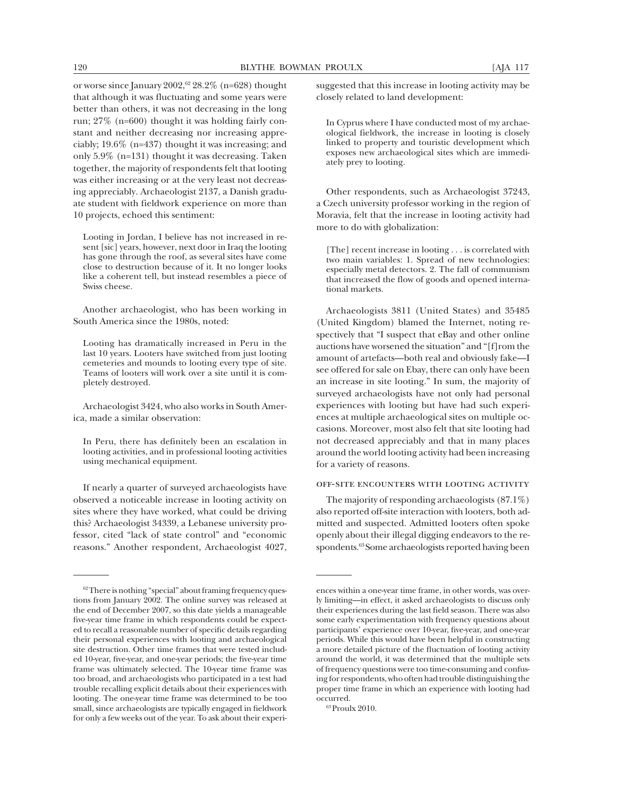or worse since January  $2002,6228.2\%$  (n=628) thought that although it was fluctuating and some years were better than others, it was not decreasing in the long run; 27% (n=600) thought it was holding fairly constant and neither decreasing nor increasing appreciably; 19.6% (n=437) thought it was increasing; and only 5.9% (n=131) thought it was decreasing. Taken together, the majority of respondents felt that looting was either increasing or at the very least not decreasing appreciably. Archaeologist 2137, a Danish graduate student with fieldwork experience on more than 10 projects, echoed this sentiment:

Looting in Jordan, I believe has not increased in resent [sic] years, however, next door in Iraq the looting has gone through the roof, as several sites have come close to destruction because of it. It no longer looks like a coherent tell, but instead resembles a piece of Swiss cheese.

Another archaeologist, who has been working in South America since the 1980s, noted:

Looting has dramatically increased in Peru in the last 10 years. Looters have switched from just looting cemeteries and mounds to looting every type of site. Teams of looters will work over a site until it is completely destroyed.

Archaeologist 3424, who also works in South America, made a similar observation:

In Peru, there has definitely been an escalation in looting activities, and in professional looting activities using mechanical equipment.

If nearly a quarter of surveyed archaeologists have observed a noticeable increase in looting activity on sites where they have worked, what could be driving this? Archaeologist 34339, a Lebanese university professor, cited "lack of state control" and "economic reasons." Another respondent, Archaeologist 4027,

suggested that this increase in looting activity may be closely related to land development:

In Cyprus where I have conducted most of my archaeological fieldwork, the increase in looting is closely linked to property and touristic development which exposes new archaeological sites which are immediately prey to looting.

Other respondents, such as Archaeologist 37243, a Czech university professor working in the region of Moravia, felt that the increase in looting activity had more to do with globalization:

[The] recent increase in looting . . . is correlated with two main variables: 1. Spread of new technologies: especially metal detectors. 2. The fall of communism that increased the flow of goods and opened international markets.

Archaeologists 3811 (United States) and 35485 (United Kingdom) blamed the Internet, noting respectively that "I suspect that eBay and other online auctions have worsened the situation" and "[f]rom the amount of artefacts—both real and obviously fake—I see offered for sale on Ebay, there can only have been an increase in site looting." In sum, the majority of surveyed archaeologists have not only had personal experiences with looting but have had such experiences at multiple archaeological sites on multiple occasions. Moreover, most also felt that site looting had not decreased appreciably and that in many places around the world looting activity had been increasing for a variety of reasons.

# off-site encounters with looting activity

The majority of responding archaeologists (87.1%) also reported off-site interaction with looters, both admitted and suspected. Admitted looters often spoke openly about their illegal digging endeavors to the respondents.63 Some archaeologists reported having been

<sup>&</sup>lt;sup>62</sup> There is nothing "special" about framing frequency questions from January 2002. The online survey was released at the end of December 2007, so this date yields a manageable five-year time frame in which respondents could be expected to recall a reasonable number of specific details regarding their personal experiences with looting and archaeological site destruction. Other time frames that were tested included 10-year, five-year, and one-year periods; the five-year time frame was ultimately selected. The 10-year time frame was too broad, and archaeologists who participated in a test had trouble recalling explicit details about their experiences with looting. The one-year time frame was determined to be too small, since archaeologists are typically engaged in fieldwork for only a few weeks out of the year. To ask about their experi-

ences within a one-year time frame, in other words, was overly limiting—in effect, it asked archaeologists to discuss only their experiences during the last field season. There was also some early experimentation with frequency questions about participants' experience over 10-year, five-year, and one-year periods. While this would have been helpful in constructing a more detailed picture of the fluctuation of looting activity around the world, it was determined that the multiple sets of frequency questions were too time-consuming and confusing for respondents, who often had trouble distinguishing the proper time frame in which an experience with looting had occurred.

<sup>63</sup> Proulx 2010.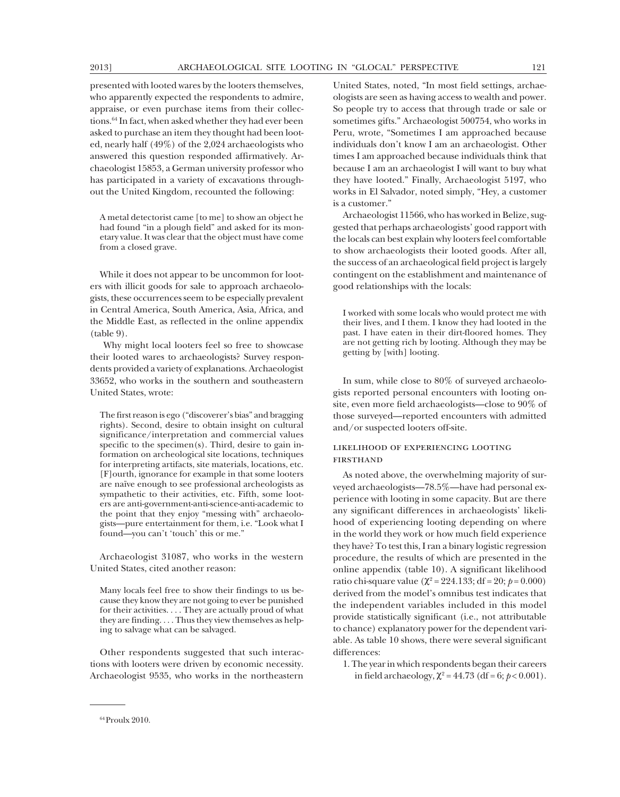presented with looted wares by the looters themselves, who apparently expected the respondents to admire, appraise, or even purchase items from their collections.<sup>64</sup> In fact, when asked whether they had ever been asked to purchase an item they thought had been looted, nearly half (49%) of the 2,024 archaeologists who answered this question responded affirmatively. Archaeologist 15853, a German university professor who has participated in a variety of excavations throughout the United Kingdom, recounted the following:

A metal detectorist came [to me] to show an object he had found "in a plough field" and asked for its monetary value. It was clear that the object must have come from a closed grave.

While it does not appear to be uncommon for looters with illicit goods for sale to approach archaeologists, these occurrences seem to be especially prevalent in Central America, South America, Asia, Africa, and the Middle East, as reflected in the online appendix (table 9).

 Why might local looters feel so free to showcase their looted wares to archaeologists? Survey respondents provided a variety of explanations. Archaeologist 33652, who works in the southern and southeastern United States, wrote:

The first reason is ego ("discoverer's bias" and bragging rights). Second, desire to obtain insight on cultural significance/interpretation and commercial values specific to the specimen(s). Third, desire to gain information on archeological site locations, techniques for interpreting artifacts, site materials, locations, etc. [F]ourth, ignorance for example in that some looters are naïve enough to see professional archeologists as sympathetic to their activities, etc. Fifth, some looters are anti-government-anti-science-anti-academic to the point that they enjoy "messing with" archaeologists—pure entertainment for them, i.e. "Look what I found—you can't 'touch' this or me."

Archaeologist 31087, who works in the western United States, cited another reason:

Many locals feel free to show their findings to us because they know they are not going to ever be punished for their activities. . . . They are actually proud of what they are finding. . . . Thus they view themselves as helping to salvage what can be salvaged.

Other respondents suggested that such interactions with looters were driven by economic necessity. Archaeologist 9535, who works in the northeastern

United States, noted, "In most field settings, archaeologists are seen as having access to wealth and power. So people try to access that through trade or sale or sometimes gifts." Archaeologist 500754, who works in Peru, wrote, "Sometimes I am approached because individuals don't know I am an archaeologist. Other times I am approached because individuals think that because I am an archaeologist I will want to buy what they have looted." Finally, Archaeologist 5197, who works in El Salvador, noted simply, "Hey, a customer is a customer."

Archaeologist 11566, who has worked in Belize, suggested that perhaps archaeologists' good rapport with the locals can best explain why looters feel comfortable to show archaeologists their looted goods. After all, the success of an archaeological field project is largely contingent on the establishment and maintenance of good relationships with the locals:

I worked with some locals who would protect me with their lives, and I them. I know they had looted in the past. I have eaten in their dirt-floored homes. They are not getting rich by looting. Although they may be getting by [with] looting.

In sum, while close to 80% of surveyed archaeologists reported personal encounters with looting onsite, even more field archaeologists—close to 90% of those surveyed—reported encounters with admitted and/or suspected looters off-site.

# likelihood of experiencing looting firsthand

As noted above, the overwhelming majority of surveyed archaeologists—78.5%—have had personal experience with looting in some capacity. But are there any significant differences in archaeologists' likelihood of experiencing looting depending on where in the world they work or how much field experience they have? To test this, I ran a binary logistic regression procedure, the results of which are presented in the online appendix (table 10). A significant likelihood ratio chi-square value  $({\chi}^2 = 224.133; df = 20; p = 0.000)$ derived from the model's omnibus test indicates that the independent variables included in this model provide statistically significant (i.e., not attributable to chance) explanatory power for the dependent variable. As table 10 shows, there were several significant differences:

1. The year in which respondents began their careers in field archaeology,  $\chi^2$  = 44.73 (df = 6;  $p < 0.001$ ).

<sup>64</sup> Proulx 2010.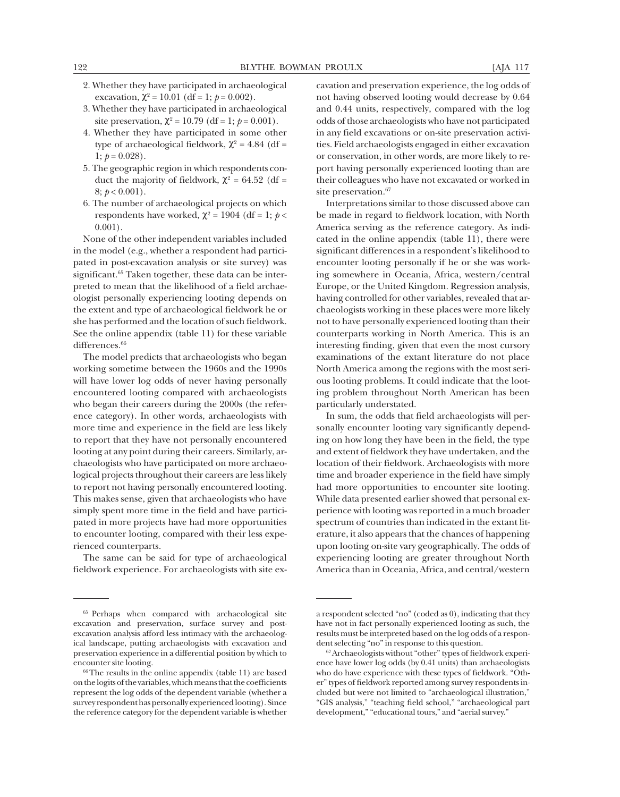- 2. Whether they have participated in archaeological excavation,  $\chi^2 = 10.01$  (df = 1;  $p = 0.002$ ).
- 3. Whether they have participated in archaeological site preservation,  $\chi^2 = 10.79$  (df = 1;  $p = 0.001$ ).
- 4. Whether they have participated in some other type of archaeological fieldwork,  $\chi^2 = 4.84$  (df = 1;  $p = 0.028$ ).
- 5. The geographic region in which respondents conduct the majority of fieldwork,  $\chi^2 = 64.52$  (df =  $8; p < 0.001$ ).
- 6. The number of archaeological projects on which respondents have worked,  $\chi^2 = 1904$  (df = 1;  $p <$ 0.001).

None of the other independent variables included in the model (e.g., whether a respondent had participated in post-excavation analysis or site survey) was significant.<sup>65</sup> Taken together, these data can be interpreted to mean that the likelihood of a field archaeologist personally experiencing looting depends on the extent and type of archaeological fieldwork he or she has performed and the location of such fieldwork. See the online appendix (table 11) for these variable differences.<sup>66</sup>

The model predicts that archaeologists who began working sometime between the 1960s and the 1990s will have lower log odds of never having personally encountered looting compared with archaeologists who began their careers during the 2000s (the reference category). In other words, archaeologists with more time and experience in the field are less likely to report that they have not personally encountered looting at any point during their careers. Similarly, archaeologists who have participated on more archaeological projects throughout their careers are less likely to report not having personally encountered looting. This makes sense, given that archaeologists who have simply spent more time in the field and have participated in more projects have had more opportunities to encounter looting, compared with their less experienced counterparts.

The same can be said for type of archaeological fieldwork experience. For archaeologists with site excavation and preservation experience, the log odds of not having observed looting would decrease by 0.64 and 0.44 units, respectively, compared with the log odds of those archaeologists who have not participated in any field excavations or on-site preservation activities. Field archaeologists engaged in either excavation or conservation, in other words, are more likely to report having personally experienced looting than are their colleagues who have not excavated or worked in site preservation.<sup>67</sup>

Interpretations similar to those discussed above can be made in regard to fieldwork location, with North America serving as the reference category. As indicated in the online appendix (table 11), there were significant differences in a respondent's likelihood to encounter looting personally if he or she was working somewhere in Oceania, Africa, western/central Europe, or the United Kingdom. Regression analysis, having controlled for other variables, revealed that archaeologists working in these places were more likely not to have personally experienced looting than their counterparts working in North America. This is an interesting finding, given that even the most cursory examinations of the extant literature do not place North America among the regions with the most serious looting problems. It could indicate that the looting problem throughout North American has been particularly understated.

In sum, the odds that field archaeologists will personally encounter looting vary significantly depending on how long they have been in the field, the type and extent of fieldwork they have undertaken, and the location of their fieldwork. Archaeologists with more time and broader experience in the field have simply had more opportunities to encounter site looting. While data presented earlier showed that personal experience with looting was reported in a much broader spectrum of countries than indicated in the extant literature, it also appears that the chances of happening upon looting on-site vary geographically. The odds of experiencing looting are greater throughout North America than in Oceania, Africa, and central/western

<sup>&</sup>lt;sup>65</sup> Perhaps when compared with archaeological site excavation and preservation, surface survey and postexcavation analysis afford less intimacy with the archaeological landscape, putting archaeologists with excavation and preservation experience in a differential position by which to encounter site looting.

 $66$  The results in the online appendix (table 11) are based on the logits of the variables, which means that the coefficients represent the log odds of the dependent variable (whether a survey respondent has personally experienced looting). Since the reference category for the dependent variable is whether

a respondent selected "no" (coded as 0), indicating that they have not in fact personally experienced looting as such, the results must be interpreted based on the log odds of a respondent selecting "no" in response to this question.<br><sup>67</sup> Archaeologists without "other" types of fieldwork experi-

ence have lower log odds (by 0.41 units) than archaeologists who do have experience with these types of fieldwork. "Other" types of fieldwork reported among survey respondents included but were not limited to "archaeological illustration," "GIS analysis," "teaching field school," "archaeological part development," "educational tours," and "aerial survey."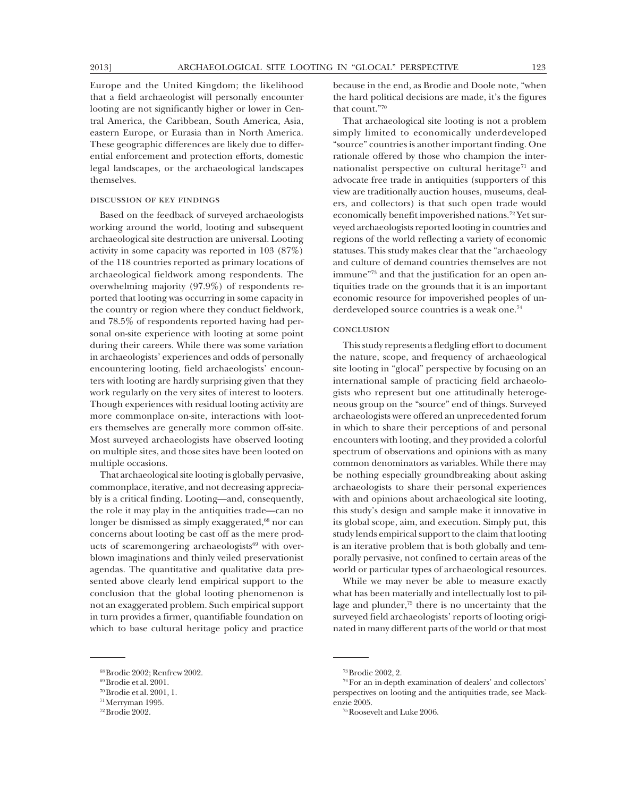Europe and the United Kingdom; the likelihood that a field archaeologist will personally encounter looting are not significantly higher or lower in Central America, the Caribbean, South America, Asia, eastern Europe, or Eurasia than in North America. These geographic differences are likely due to differential enforcement and protection efforts, domestic legal landscapes, or the archaeological landscapes themselves.

## discussion of key findings

Based on the feedback of surveyed archaeologists working around the world, looting and subsequent archaeological site destruction are universal. Looting activity in some capacity was reported in 103 (87%) of the 118 countries reported as primary locations of archaeological fieldwork among respondents. The overwhelming majority (97.9%) of respondents reported that looting was occurring in some capacity in the country or region where they conduct fieldwork, and 78.5% of respondents reported having had personal on-site experience with looting at some point during their careers. While there was some variation in archaeologists' experiences and odds of personally encountering looting, field archaeologists' encounters with looting are hardly surprising given that they work regularly on the very sites of interest to looters. Though experiences with residual looting activity are more commonplace on-site, interactions with looters themselves are generally more common off-site. Most surveyed archaeologists have observed looting on multiple sites, and those sites have been looted on multiple occasions.

That archaeological site looting is globally pervasive, commonplace, iterative, and not decreasing appreciably is a critical finding. Looting—and, consequently, the role it may play in the antiquities trade—can no longer be dismissed as simply exaggerated, $68$  nor can concerns about looting be cast off as the mere products of scaremongering archaeologists<sup>69</sup> with overblown imaginations and thinly veiled preservationist agendas. The quantitative and qualitative data presented above clearly lend empirical support to the conclusion that the global looting phenomenon is not an exaggerated problem. Such empirical support in turn provides a firmer, quantifiable foundation on which to base cultural heritage policy and practice because in the end, as Brodie and Doole note, "when the hard political decisions are made, it's the figures that count."70

That archaeological site looting is not a problem simply limited to economically underdeveloped "source" countries is another important finding. One rationale offered by those who champion the internationalist perspective on cultural heritage $71$  and advocate free trade in antiquities (supporters of this view are traditionally auction houses, museums, dealers, and collectors) is that such open trade would economically benefit impoverished nations.72 Yet surveyed archaeologists reported looting in countries and regions of the world reflecting a variety of economic statuses. This study makes clear that the "archaeology and culture of demand countries themselves are not immune"73 and that the justification for an open antiquities trade on the grounds that it is an important economic resource for impoverished peoples of underdeveloped source countries is a weak one.74

#### conclusion

This study represents a fledgling effort to document the nature, scope, and frequency of archaeological site looting in "glocal" perspective by focusing on an international sample of practicing field archaeologists who represent but one attitudinally heterogeneous group on the "source" end of things. Surveyed archaeologists were offered an unprecedented forum in which to share their perceptions of and personal encounters with looting, and they provided a colorful spectrum of observations and opinions with as many common denominators as variables. While there may be nothing especially groundbreaking about asking archaeologists to share their personal experiences with and opinions about archaeological site looting, this study's design and sample make it innovative in its global scope, aim, and execution. Simply put, this study lends empirical support to the claim that looting is an iterative problem that is both globally and temporally pervasive, not confined to certain areas of the world or particular types of archaeological resources.

While we may never be able to measure exactly what has been materially and intellectually lost to pillage and plunder,<sup>75</sup> there is no uncertainty that the surveyed field archaeologists' reports of looting originated in many different parts of the world or that most

<sup>68</sup> Brodie 2002; Renfrew 2002.

<sup>69</sup> Brodie et al. 2001.

<sup>70</sup> Brodie et al. 2001, 1.

<sup>71</sup> Merryman 1995.

<sup>72</sup> Brodie 2002.

<sup>73</sup> Brodie 2002, 2.

<sup>74</sup> For an in-depth examination of dealers' and collectors' perspectives on looting and the antiquities trade, see Mackenzie 2005. 75 Roosevelt and Luke 2006.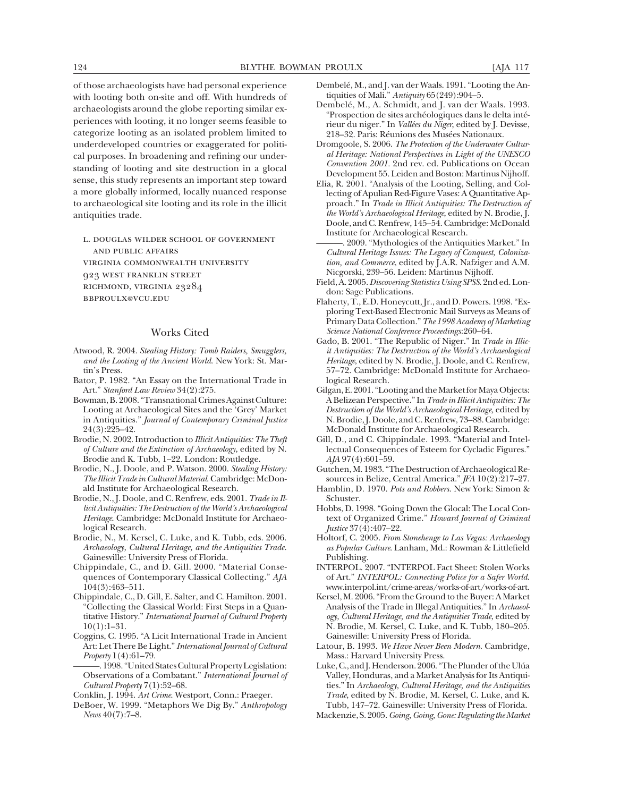of those archaeologists have had personal experience with looting both on-site and off. With hundreds of archaeologists around the globe reporting similar experiences with looting, it no longer seems feasible to categorize looting as an isolated problem limited to underdeveloped countries or exaggerated for political purposes. In broadening and refining our understanding of looting and site destruction in a glocal sense, this study represents an important step toward a more globally informed, locally nuanced response to archaeological site looting and its role in the illicit antiquities trade.

l. douglas wilder school of government and public affairs virginia commonwealth university 923 west franklin street richmond, virginia 23284

bbproulx@vcu.edu

## Works Cited

- Atwood, R. 2004. *Stealing History: Tomb Raiders, Smugglers, and the Looting of the Ancient World*. New York: St. Martin's Press.
- Bator, P. 1982. "An Essay on the International Trade in Art." *Stanford Law Review* 34(2):275.
- Bowman, B. 2008. "Transnational Crimes Against Culture: Looting at Archaeological Sites and the 'Grey' Market in Antiquities." *Journal of Contemporary Criminal Justice* 24(3):225–42.
- Brodie, N. 2002. Introduction to *Illicit Antiquities: The Theft of Culture and the Extinction of Archaeology*, edited by N. Brodie and K. Tubb, 1–22. London: Routledge.
- Brodie, N., J. Doole, and P. Watson. 2000. *Stealing History: The Illicit Trade in Cultural Material*. Cambridge: McDonald Institute for Archaeological Research.
- Brodie, N., J. Doole, and C. Renfrew, eds. 2001. *Trade in Illicit Antiquities: The Destruction of the World's Archaeological Heritage*. Cambridge: McDonald Institute for Archaeological Research.
- Brodie, N., M. Kersel, C. Luke, and K. Tubb, eds. 2006. *Archaeology, Cultural Heritage, and the Antiquities Trade.* Gainesville: University Press of Florida.
- Chippindale, C., and D. Gill. 2000. "Material Consequences of Contemporary Classical Collecting." *AJA*  104(3):463–511.
- Chippindale, C., D. Gill, E. Salter, and C. Hamilton. 2001. "Collecting the Classical World: First Steps in a Quantitative History." *International Journal of Cultural Property*  $10(1):1-31.$
- Coggins, C. 1995. "A Licit International Trade in Ancient Art: Let There Be Light." *International Journal of Cultural Property* 1(4):61–79.
- ———. 1998. "United States Cultural Property Legislation: Observations of a Combatant." *International Journal of Cultural Property* 7(1):52–68.
- Conklin, J. 1994. *Art Crime*. Westport, Conn.: Praeger.
- DeBoer, W. 1999. "Metaphors We Dig By." *Anthropology News* 40(7):7–8.
- Dembelé, M., and J. van der Waals. 1991. "Looting the Antiquities of Mali." *Antiquity* 65(249):904–5.
- Dembelé, M., A. Schmidt, and J. van der Waals. 1993. "Prospection de sites archéologiques dans le delta intérieur du niger." In *Vallées du Niger*, edited by J. Devisse, 218–32. Paris: Réunions des Musées Nationaux.
- Dromgoole, S. 2006. *The Protection of the Underwater Cultural Heritage: National Perspectives in Light of the UNESCO Convention 2001.* 2nd rev. ed. Publications on Ocean Development 55. Leiden and Boston: Martinus Nijhoff.
- Elia, R. 2001. "Analysis of the Looting, Selling, and Collecting of Apulian Red-Figure Vases: A Quantitative Approach." In *Trade in Illicit Antiquities: The Destruction of the World's Archaeological Heritage*, edited by N. Brodie, J. Doole, and C. Renfrew, 145–54. Cambridge: McDonald Institute for Archaeological Research.
- ———. 2009. "Mythologies of the Antiquities Market." In *Cultural Heritage Issues: The Legacy of Conquest, Colonization, and Commerce*, edited by J.A.R. Nafziger and A.M. Nicgorski, 239–56. Leiden: Martinus Nijhoff.
- Field, A. 2005. *Discovering Statistics Using SPSS*. 2nd ed. London: Sage Publications.
- Flaherty, T., E.D. Honeycutt, Jr., and D. Powers. 1998. "Exploring Text-Based Electronic Mail Surveys as Means of Primary Data Collection." *The 1998 Academy of Marketing Science National Conference Proceedings* :260–64.
- Gado, B. 2001. "The Republic of Niger." In *Trade in Illicit Antiquities: The Destruction of the World's Archaeological Heritage*, edited by N. Brodie, J. Doole, and C. Renfrew, 57–72. Cambridge: McDonald Institute for Archaeological Research.
- Gilgan, E. 2001. "Looting and the Market for Maya Objects: A Belizean Perspective." In *Trade in Illicit Antiquities: The Destruction of the World's Archaeological Heritage,* edited by N. Brodie, J. Doole, and C. Renfrew, 73–88. Cambridge: McDonald Institute for Archaeological Research.
- Gill, D., and C. Chippindale. 1993. "Material and Intellectual Consequences of Esteem for Cycladic Figures." *AJA* 97(4):601–59.
- Gutchen, M. 1983. "The Destruction of Archaeological Resources in Belize, Central America." *JFA* 10(2):217–27.
- Hamblin, D. 1970. *Pots and Robbers*. New York: Simon & Schuster.
- Hobbs, D. 1998. "Going Down the Glocal: The Local Context of Organized Crime." *Howard Journal of Criminal Justice* 37(4):407–22.
- Holtorf, C. 2005. *From Stonehenge to Las Vegas: Archaeology as Popular Culture*. Lanham, Md.: Rowman & Littlefield Publishing.
- INTERPOL. 2007. "INTERPOL Fact Sheet: Stolen Works of Art." *INTERPOL: Connecting Police for a Safer World*. www.interpol.int/crime-areas/works-of-art/works-of-art.
- Kersel, M. 2006. "From the Ground to the Buyer: A Market Analysis of the Trade in Illegal Antiquities." In *Archaeology, Cultural Heritage, and the Antiquities Trade*, edited by N. Brodie, M. Kersel, C. Luke, and K. Tubb, 180–205. Gainesville: University Press of Florida.
- Latour, B. 1993. *We Have Never Been Modern*. Cambridge, Mass.: Harvard University Press.
- Luke, C., and J. Henderson. 2006. "The Plunder of the Ulúa Valley, Honduras, and a Market Analysis for Its Antiquities." In *Archaeology, Cultural Heritage, and the Antiquities Trade*, edited by N. Brodie, M. Kersel, C. Luke, and K. Tubb, 147–72. Gainesville: University Press of Florida.
- Mackenzie, S. 2005. *Going, Going, Gone: Regulating the Market*